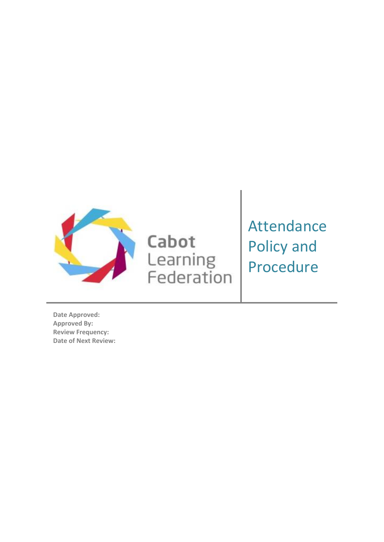

Cabot Learning<br>Federation Attendance Policy and Procedure

**Date Approved: Approved By: Review Frequency: Date of Next Review:**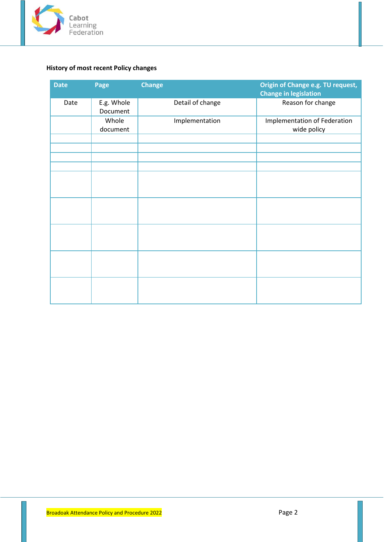

# <span id="page-1-0"></span>**History of most recent Policy changes**

| <b>Date</b> | Page                   | <b>Change</b>    | Origin of Change e.g. TU request,<br><b>Change in legislation</b> |
|-------------|------------------------|------------------|-------------------------------------------------------------------|
| Date        | E.g. Whole<br>Document | Detail of change | Reason for change                                                 |
|             | Whole<br>document      | Implementation   | Implementation of Federation<br>wide policy                       |
|             |                        |                  |                                                                   |
|             |                        |                  |                                                                   |
|             |                        |                  |                                                                   |
|             |                        |                  |                                                                   |
|             |                        |                  |                                                                   |
|             |                        |                  |                                                                   |
|             |                        |                  |                                                                   |
|             |                        |                  |                                                                   |
|             |                        |                  |                                                                   |
|             |                        |                  |                                                                   |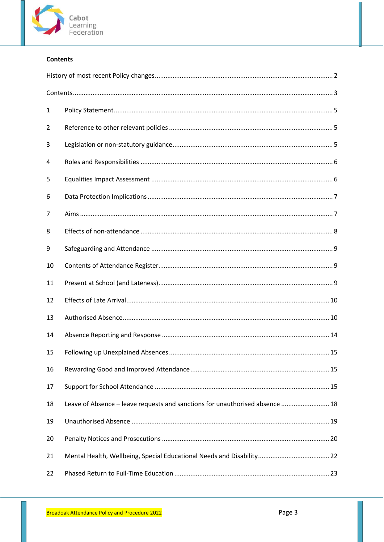

# <span id="page-2-0"></span>**Contents**

| 1  |                                                                              |  |  |
|----|------------------------------------------------------------------------------|--|--|
| 2  |                                                                              |  |  |
| 3  |                                                                              |  |  |
| 4  |                                                                              |  |  |
| 5  |                                                                              |  |  |
| 6  |                                                                              |  |  |
| 7  |                                                                              |  |  |
| 8  |                                                                              |  |  |
| 9  |                                                                              |  |  |
| 10 |                                                                              |  |  |
| 11 |                                                                              |  |  |
| 12 |                                                                              |  |  |
| 13 |                                                                              |  |  |
| 14 |                                                                              |  |  |
| 15 |                                                                              |  |  |
| 16 |                                                                              |  |  |
| 17 |                                                                              |  |  |
| 18 | Leave of Absence - leave requests and sanctions for unauthorised absence  18 |  |  |
| 19 |                                                                              |  |  |
| 20 |                                                                              |  |  |
| 21 |                                                                              |  |  |
| 22 |                                                                              |  |  |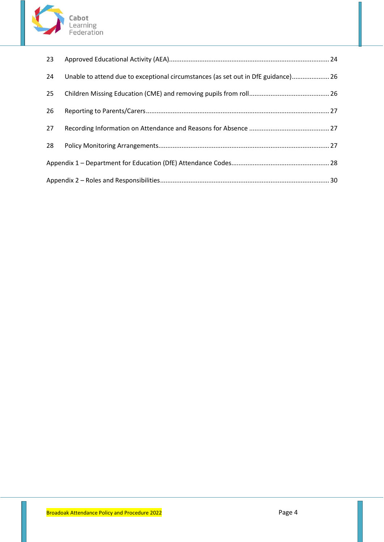

| 23 |                                                                                   |  |  |
|----|-----------------------------------------------------------------------------------|--|--|
| 24 | Unable to attend due to exceptional circumstances (as set out in DfE guidance) 26 |  |  |
| 25 |                                                                                   |  |  |
| 26 |                                                                                   |  |  |
| 27 |                                                                                   |  |  |
| 28 |                                                                                   |  |  |
|    |                                                                                   |  |  |
|    |                                                                                   |  |  |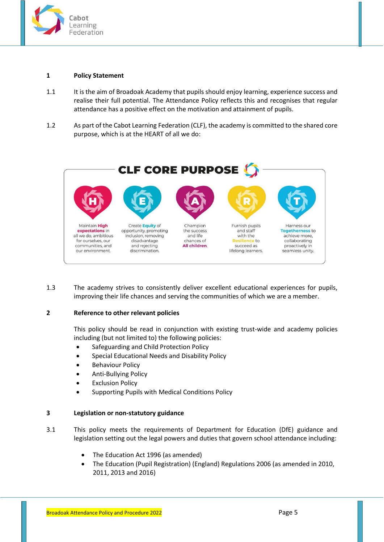

#### <span id="page-4-0"></span>**1 Policy Statement**

- 1.1 It is the aim of Broadoak Academy that pupils should enjoy learning, experience success and realise their full potential. The Attendance Policy reflects this and recognises that regular attendance has a positive effect on the motivation and attainment of pupils.
- 1.2 As part of the Cabot Learning Federation (CLF), the academy is committed to the shared core purpose, which is at the HEART of all we do:



1.3 The academy strives to consistently deliver excellent educational experiences for pupils, improving their life chances and serving the communities of which we are a member.

## <span id="page-4-1"></span>**2 Reference to other relevant policies**

This policy should be read in conjunction with existing trust-wide and academy policies including (but not limited to) the following policies:

- Safeguarding and Child Protection Policy
- Special Educational Needs and Disability Policy
- Behaviour Policy
- Anti-Bullying Policy
- **Exclusion Policy**
- Supporting Pupils with Medical Conditions Policy

#### <span id="page-4-2"></span>**3 Legislation or non-statutory guidance**

- 3.1 This policy meets the requirements of Department for Education (DfE) guidance and legislation setting out the legal powers and duties that govern school attendance including:
	- The Education Act 1996 (as amended)
	- The Education (Pupil Registration) (England) Regulations 2006 (as amended in 2010, 2011, 2013 and 2016)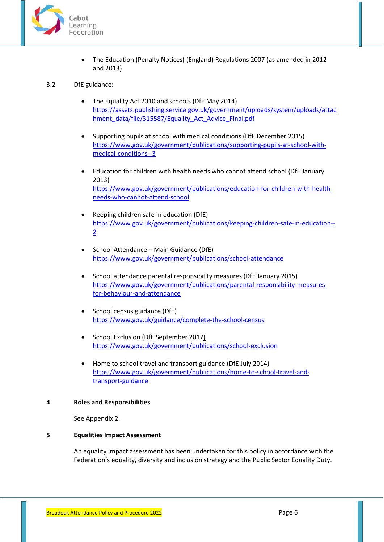

• The Education (Penalty Notices) (England) Regulations 2007 (as amended in 2012 and 2013)

#### 3.2 DfE guidance:

- The Equality Act 2010 and schools (DfE May 2014) [https://assets.publishing.service.gov.uk/government/uploads/system/uploads/attac](https://assets.publishing.service.gov.uk/government/uploads/system/uploads/attachment_data/file/315587/Equality_Act_Advice_Final.pdf) [hment\\_data/file/315587/Equality\\_Act\\_Advice\\_Final.pdf](https://assets.publishing.service.gov.uk/government/uploads/system/uploads/attachment_data/file/315587/Equality_Act_Advice_Final.pdf)
- Supporting pupils at school with medical conditions (DfE December 2015) [https://www.gov.uk/government/publications/supporting-pupils-at-school-with](https://www.gov.uk/government/publications/supporting-pupils-at-school-with-medical-conditions--3)[medical-conditions--3](https://www.gov.uk/government/publications/supporting-pupils-at-school-with-medical-conditions--3)
- Education for children with health needs who cannot attend school (DfE January 2013) [https://www.gov.uk/government/publications/education-for-children-with-health](https://www.gov.uk/government/publications/education-for-children-with-health-needs-who-cannot-attend-school)[needs-who-cannot-attend-school](https://www.gov.uk/government/publications/education-for-children-with-health-needs-who-cannot-attend-school)
- Keeping children safe in education (DfE) [https://www.gov.uk/government/publications/keeping-children-safe-in-education--](https://www.gov.uk/government/publications/keeping-children-safe-in-education--2) [2](https://www.gov.uk/government/publications/keeping-children-safe-in-education--2)
- School Attendance Main Guidance (DfE) <https://www.gov.uk/government/publications/school-attendance>
- School attendance parental responsibility measures (DfE January 2015) [https://www.gov.uk/government/publications/parental-responsibility-measures](https://www.gov.uk/government/publications/parental-responsibility-measures-for-behaviour-and-attendance)[for-behaviour-and-attendance](https://www.gov.uk/government/publications/parental-responsibility-measures-for-behaviour-and-attendance)
- School census guidance (DfE) <https://www.gov.uk/guidance/complete-the-school-census>
- School Exclusion (DfE September 2017) <https://www.gov.uk/government/publications/school-exclusion>
- Home to school travel and transport guidance (DfE July 2014) [https://www.gov.uk/government/publications/home-to-school-travel-and](https://www.gov.uk/government/publications/home-to-school-travel-and-transport-guidance)[transport-guidance](https://www.gov.uk/government/publications/home-to-school-travel-and-transport-guidance)

#### <span id="page-5-0"></span>**4 Roles and Responsibilities**

See Appendix 2.

#### <span id="page-5-1"></span>**5 Equalities Impact Assessment**

An equality impact assessment has been undertaken for this policy in accordance with the Federation's equality, diversity and inclusion strategy and the Public Sector Equality Duty.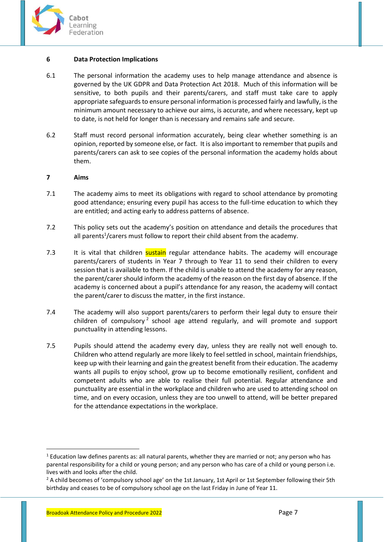

#### <span id="page-6-0"></span>**6 Data Protection Implications**

- 6.1 The personal information the academy uses to help manage attendance and absence is governed by the UK GDPR and Data Protection Act 2018. Much of this information will be sensitive, to both pupils and their parents/carers, and staff must take care to apply appropriate safeguards to ensure personal information is processed fairly and lawfully, is the minimum amount necessary to achieve our aims, is accurate, and where necessary, kept up to date, is not held for longer than is necessary and remains safe and secure.
- 6.2 Staff must record personal information accurately, being clear whether something is an opinion, reported by someone else, or fact. It is also important to remember that pupils and parents/carers can ask to see copies of the personal information the academy holds about them.

#### <span id="page-6-1"></span>**7 Aims**

- 7.1 The academy aims to meet its obligations with regard to school attendance by promoting good attendance; ensuring every pupil has access to the full-time education to which they are entitled; and acting early to address patterns of absence.
- 7.2 This policy sets out the academy's position on attendance and details the procedures that all parents<sup>1</sup>/carers must follow to report their child absent from the academy.
- 7.3 It is vital that children **sustain** regular attendance habits. The academy will encourage parents/carers of students in Year 7 through to Year 11 to send their children to every session that is available to them. If the child is unable to attend the academy for any reason, the parent/carer should inform the academy of the reason on the first day of absence. If the academy is concerned about a pupil's attendance for any reason, the academy will contact the parent/carer to discuss the matter, in the first instance.
- 7.4 The academy will also support parents/carers to perform their legal duty to ensure their children of compulsory<sup>2</sup> school age attend regularly, and will promote and support punctuality in attending lessons.
- 7.5 Pupils should attend the academy every day, unless they are really not well enough to. Children who attend regularly are more likely to feel settled in school, maintain friendships, keep up with their learning and gain the greatest benefit from their education. The academy wants all pupils to enjoy school, grow up to become emotionally resilient, confident and competent adults who are able to realise their full potential. Regular attendance and punctuality are essential in the workplace and children who are used to attending school on time, and on every occasion, unless they are too unwell to attend, will be better prepared for the attendance expectations in the workplace.

**.** 

<sup>&</sup>lt;sup>1</sup> Education law defines parents as: all natural parents, whether they are married or not; any person who has parental responsibility for a child or young person; and any person who has care of a child or young person i.e. lives with and looks after the child.

<sup>&</sup>lt;sup>2</sup> A child becomes of 'compulsory school age' on the 1st January, 1st April or 1st September following their 5th birthday and ceases to be of compulsory school age on the last Friday in June of Year 11.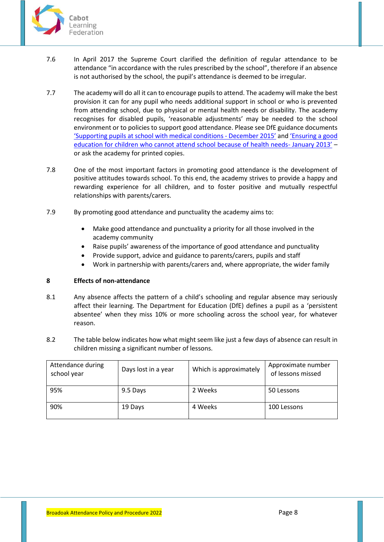

- 7.6 In April 2017 the Supreme Court clarified the definition of regular attendance to be attendance "in accordance with the rules prescribed by the school", therefore if an absence is not authorised by the school, the pupil's attendance is deemed to be irregular.
- 7.7 The academy will do all it can to encourage pupils to attend. The academy will make the best provision it can for any pupil who needs additional support in school or who is prevented from attending school, due to physical or mental health needs or disability. The academy recognises for disabled pupils, 'reasonable adjustments' may be needed to the school environment or to policies to support good attendance. Please see DfE guidance documents ['Supporting pupils at school with medical conditions](https://www.gov.uk/government/publications/supporting-pupils-at-school-with-medical-conditions--3) - December 2015' and ['Ensuring a good](https://www.gov.uk/government/publications/education-for-children-with-health-needs-who-cannot-attend-school)  [education for children who cannot attend school because of health needs-](https://www.gov.uk/government/publications/education-for-children-with-health-needs-who-cannot-attend-school) January 2013' – or ask the academy for printed copies.
- 7.8 One of the most important factors in promoting good attendance is the development of positive attitudes towards school. To this end, the academy strives to provide a happy and rewarding experience for all children, and to foster positive and mutually respectful relationships with parents/carers.
- 7.9 By promoting good attendance and punctuality the academy aims to:
	- Make good attendance and punctuality a priority for all those involved in the academy community
	- Raise pupils' awareness of the importance of good attendance and punctuality
	- Provide support, advice and guidance to parents/carers, pupils and staff
	- Work in partnership with parents/carers and, where appropriate, the wider family

## <span id="page-7-0"></span>**8 Effects of non-attendance**

- 8.1 Any absence affects the pattern of a child's schooling and regular absence may seriously affect their learning. The Department for Education (DfE) defines a pupil as a 'persistent absentee' when they miss 10% or more schooling across the school year, for whatever reason.
- 8.2 The table below indicates how what might seem like just a few days of absence can result in children missing a significant number of lessons.

| Attendance during<br>school year | Days lost in a year | Which is approximately | Approximate number<br>of lessons missed |
|----------------------------------|---------------------|------------------------|-----------------------------------------|
| 95%                              | 9.5 Days            | 2 Weeks                | 50 Lessons                              |
| 90%                              | 19 Days             | 4 Weeks                | 100 Lessons                             |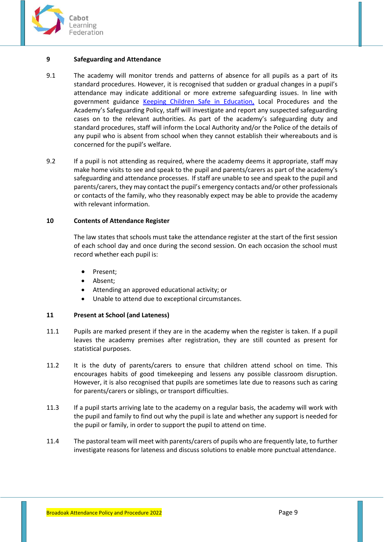

# <span id="page-8-0"></span>**9 Safeguarding and Attendance**

- 9.1 The academy will monitor trends and patterns of absence for all pupils as a part of its standard procedures. However, it is recognised that sudden or gradual changes in a pupil's attendance may indicate additional or more extreme safeguarding issues. In line with government guidance [Keeping Children Safe in Education,](https://www.gov.uk/government/publications/keeping-children-safe-in-education--2) Local Procedures and the Academy's Safeguarding Policy, staff will investigate and report any suspected safeguarding cases on to the relevant authorities. As part of the academy's safeguarding duty and standard procedures, staff will inform the Local Authority and/or the Police of the details of any pupil who is absent from school when they cannot establish their whereabouts and is concerned for the pupil's welfare.
- 9.2 If a pupil is not attending as required, where the academy deems it appropriate, staff may make home visits to see and speak to the pupil and parents/carers as part of the academy's safeguarding and attendance processes. If staff are unable to see and speak to the pupil and parents/carers, they may contact the pupil's emergency contacts and/or other professionals or contacts of the family, who they reasonably expect may be able to provide the academy with relevant information.

# <span id="page-8-1"></span>**10 Contents of Attendance Register**

The law states that schools must take the attendance register at the start of the first session of each school day and once during the second session. On each occasion the school must record whether each pupil is:

- Present;
- Absent;
- Attending an approved educational activity; or
- Unable to attend due to exceptional circumstances.

## <span id="page-8-2"></span>**11 Present at School (and Lateness)**

- 11.1 Pupils are marked present if they are in the academy when the register is taken. If a pupil leaves the academy premises after registration, they are still counted as present for statistical purposes.
- 11.2 It is the duty of parents/carers to ensure that children attend school on time. This encourages habits of good timekeeping and lessens any possible classroom disruption. However, it is also recognised that pupils are sometimes late due to reasons such as caring for parents/carers or siblings, or transport difficulties.
- 11.3 If a pupil starts arriving late to the academy on a regular basis, the academy will work with the pupil and family to find out why the pupil is late and whether any support is needed for the pupil or family, in order to support the pupil to attend on time.
- 11.4 The pastoral team will meet with parents/carers of pupils who are frequently late, to further investigate reasons for lateness and discuss solutions to enable more punctual attendance.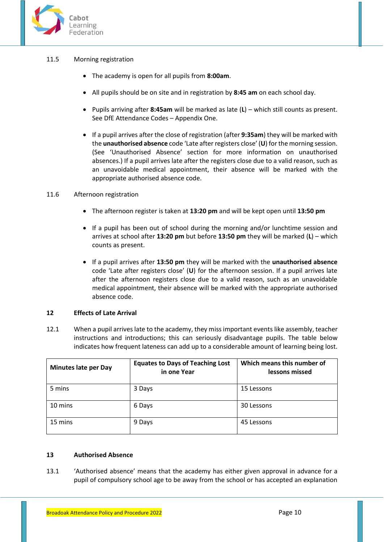

## 11.5 Morning registration

- The academy is open for all pupils from **8:00am**.
- All pupils should be on site and in registration by **8:45 am** on each school day.
- Pupils arriving after **8:45am** will be marked as late (**L**) which still counts as present. See DfE Attendance Codes – Appendix One.
- If a pupil arrives after the close of registration (after **9:35am**) they will be marked with the **unauthorised absence** code 'Late after registers close' (**U**) for the morning session. (See 'Unauthorised Absence' section for more information on unauthorised absences.) If a pupil arrives late after the registers close due to a valid reason, such as an unavoidable medical appointment, their absence will be marked with the appropriate authorised absence code.

## 11.6 Afternoon registration

- The afternoon register is taken at **13:20 pm** and will be kept open until **13:50 pm**
- If a pupil has been out of school during the morning and/or lunchtime session and arrives at school after **13:20 pm** but before **13:50 pm** they will be marked (**L**) – which counts as present.
- If a pupil arrives after **13:50 pm** they will be marked with the **unauthorised absence** code 'Late after registers close' (**U**) for the afternoon session. If a pupil arrives late after the afternoon registers close due to a valid reason, such as an unavoidable medical appointment, their absence will be marked with the appropriate authorised absence code.

## <span id="page-9-0"></span>**12 Effects of Late Arrival**

12.1 When a pupil arrives late to the academy, they miss important events like assembly, teacher instructions and introductions; this can seriously disadvantage pupils. The table below indicates how frequent lateness can add up to a considerable amount of learning being lost.

| <b>Minutes late per Day</b> | <b>Equates to Days of Teaching Lost</b><br>in one Year | Which means this number of<br>lessons missed |
|-----------------------------|--------------------------------------------------------|----------------------------------------------|
| 5 mins                      | 3 Days                                                 | 15 Lessons                                   |
| 10 mins                     | 6 Days                                                 | 30 Lessons                                   |
| 15 mins                     | 9 Days                                                 | 45 Lessons                                   |

## <span id="page-9-1"></span>**13 Authorised Absence**

13.1 'Authorised absence' means that the academy has either given approval in advance for a pupil of compulsory school age to be away from the school or has accepted an explanation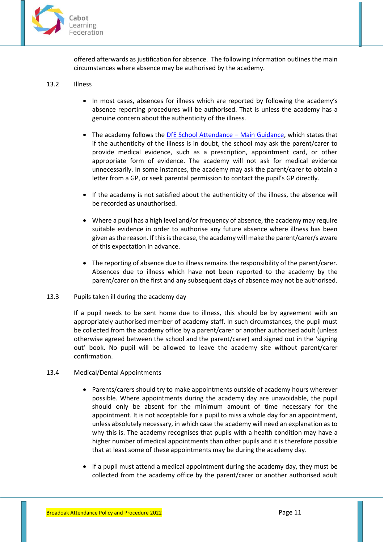

offered afterwards as justification for absence. The following information outlines the main circumstances where absence may be authorised by the academy.

## 13.2 Illness

- In most cases, absences for illness which are reported by following the academy's absence reporting procedures will be authorised. That is unless the academy has a genuine concern about the authenticity of the illness.
- The academy follows the [DfE School Attendance](https://www.gov.uk/government/publications/school-attendance)  Main Guidance, which states that if the authenticity of the illness is in doubt, the school may ask the parent/carer to provide medical evidence, such as a prescription, appointment card, or other appropriate form of evidence. The academy will not ask for medical evidence unnecessarily. In some instances, the academy may ask the parent/carer to obtain a letter from a GP, or seek parental permission to contact the pupil's GP directly.
- If the academy is not satisfied about the authenticity of the illness, the absence will be recorded as unauthorised.
- Where a pupil has a high level and/or frequency of absence, the academy may require suitable evidence in order to authorise any future absence where illness has been given as the reason. If this is the case, the academy will make the parent/carer/s aware of this expectation in advance.
- The reporting of absence due to illness remains the responsibility of the parent/carer. Absences due to illness which have **not** been reported to the academy by the parent/carer on the first and any subsequent days of absence may not be authorised.
- 13.3 Pupils taken ill during the academy day

If a pupil needs to be sent home due to illness, this should be by agreement with an appropriately authorised member of academy staff. In such circumstances, the pupil must be collected from the academy office by a parent/carer or another authorised adult (unless otherwise agreed between the school and the parent/carer) and signed out in the 'signing out' book. No pupil will be allowed to leave the academy site without parent/carer confirmation.

- 13.4 Medical/Dental Appointments
	- Parents/carers should try to make appointments outside of academy hours wherever possible. Where appointments during the academy day are unavoidable, the pupil should only be absent for the minimum amount of time necessary for the appointment. It is not acceptable for a pupil to miss a whole day for an appointment, unless absolutely necessary, in which case the academy will need an explanation as to why this is. The academy recognises that pupils with a health condition may have a higher number of medical appointments than other pupils and it is therefore possible that at least some of these appointments may be during the academy day.
	- If a pupil must attend a medical appointment during the academy day, they must be collected from the academy office by the parent/carer or another authorised adult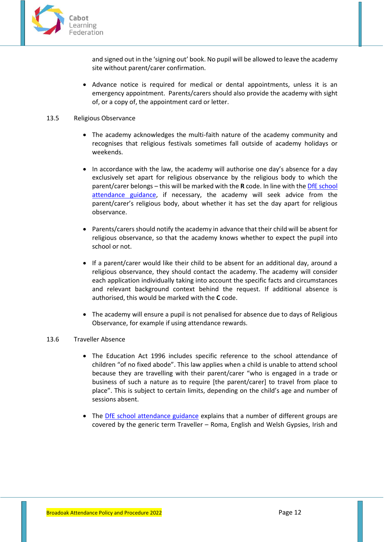

and signed out in the 'signing out' book. No pupil will be allowed to leave the academy site without parent/carer confirmation.

• Advance notice is required for medical or dental appointments, unless it is an emergency appointment. Parents/carers should also provide the academy with sight of, or a copy of, the appointment card or letter.

## 13.5 Religious Observance

- The academy acknowledges the multi-faith nature of the academy community and recognises that religious festivals sometimes fall outside of academy holidays or weekends.
- In accordance with the law, the academy will authorise one day's absence for a day exclusively set apart for religious observance by the religious body to which the parent/carer belongs – this will be marked with the **R** code. In line with th[e DfE school](https://www.gov.uk/government/publications/school-attendance)  [attendance guidance,](https://www.gov.uk/government/publications/school-attendance) if necessary, the academy will seek advice from the parent/carer's religious body, about whether it has set the day apart for religious observance.
- Parents/carersshould notify the academy in advance that their child will be absent for religious observance, so that the academy knows whether to expect the pupil into school or not.
- If a parent/carer would like their child to be absent for an additional day, around a religious observance, they should contact the academy. The academy will consider each application individually taking into account the specific facts and circumstances and relevant background context behind the request. If additional absence is authorised, this would be marked with the **C** code.
- The academy will ensure a pupil is not penalised for absence due to days of Religious Observance, for example if using attendance rewards.

#### 13.6 Traveller Absence

- The Education Act 1996 includes specific reference to the school attendance of children "of no fixed abode". This law applies when a child is unable to attend school because they are travelling with their parent/carer "who is engaged in a trade or business of such a nature as to require [the parent/carer] to travel from place to place". This is subject to certain limits, depending on the child's age and number of sessions absent.
- The [DfE school attendance guidance](https://www.gov.uk/government/publications/school-attendance) explains that a number of different groups are covered by the generic term Traveller – Roma, English and Welsh Gypsies, Irish and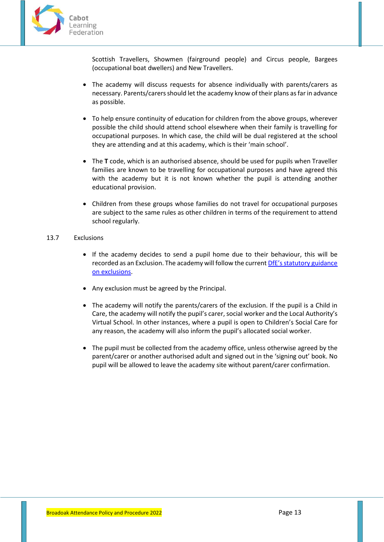

Scottish Travellers, Showmen (fairground people) and Circus people, Bargees (occupational boat dwellers) and New Travellers.

- The academy will discuss requests for absence individually with parents/carers as necessary. Parents/carers should let the academy know of their plans as far in advance as possible.
- To help ensure continuity of education for children from the above groups, wherever possible the child should attend school elsewhere when their family is travelling for occupational purposes. In which case, the child will be dual registered at the school they are attending and at this academy, which is their 'main school'.
- The **T** code, which is an authorised absence, should be used for pupils when Traveller families are known to be travelling for occupational purposes and have agreed this with the academy but it is not known whether the pupil is attending another educational provision.
- Children from these groups whose families do not travel for occupational purposes are subject to the same rules as other children in terms of the requirement to attend school regularly.

## 13.7 Exclusions

- If the academy decides to send a pupil home due to their behaviour, this will be recorded as an Exclusion. The academy will follow the current [DfE's statutory guidance](https://www.gov.uk/government/publications/school-exclusion)  [on exclusions.](https://www.gov.uk/government/publications/school-exclusion)
- Any exclusion must be agreed by the Principal.
- The academy will notify the parents/carers of the exclusion. If the pupil is a Child in Care, the academy will notify the pupil's carer, social worker and the Local Authority's Virtual School. In other instances, where a pupil is open to Children's Social Care for any reason, the academy will also inform the pupil's allocated social worker.
- The pupil must be collected from the academy office, unless otherwise agreed by the parent/carer or another authorised adult and signed out in the 'signing out' book. No pupil will be allowed to leave the academy site without parent/carer confirmation.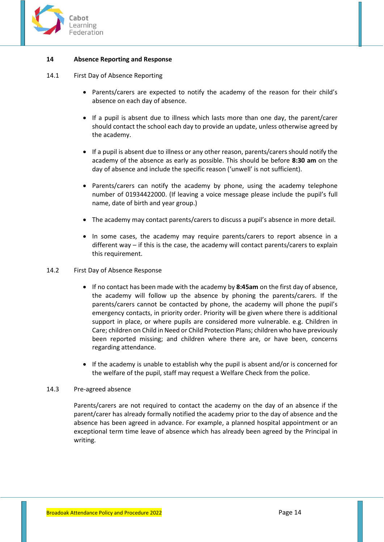

## <span id="page-13-0"></span>**14 Absence Reporting and Response**

- 14.1 First Day of Absence Reporting
	- Parents/carers are expected to notify the academy of the reason for their child's absence on each day of absence.
	- If a pupil is absent due to illness which lasts more than one day, the parent/carer should contact the school each day to provide an update, unless otherwise agreed by the academy.
	- If a pupil is absent due to illness or any other reason, parents/carers should notify the academy of the absence as early as possible. This should be before **8:30 am** on the day of absence and include the specific reason ('unwell' is not sufficient).
	- Parents/carers can notify the academy by phone, using the academy telephone number of 01934422000. (If leaving a voice message please include the pupil's full name, date of birth and year group.)
	- The academy may contact parents/carers to discuss a pupil's absence in more detail.
	- In some cases, the academy may require parents/carers to report absence in a different way – if this is the case, the academy will contact parents/carers to explain this requirement.

## 14.2 First Day of Absence Response

- If no contact has been made with the academy by **8:45am** on the first day of absence, the academy will follow up the absence by phoning the parents/carers. If the parents/carers cannot be contacted by phone, the academy will phone the pupil's emergency contacts, in priority order. Priority will be given where there is additional support in place, or where pupils are considered more vulnerable. e.g. Children in Care; children on Child in Need or Child Protection Plans; children who have previously been reported missing; and children where there are, or have been, concerns regarding attendance.
- If the academy is unable to establish why the pupil is absent and/or is concerned for the welfare of the pupil, staff may request a Welfare Check from the police.

#### 14.3 Pre-agreed absence

Parents/carers are not required to contact the academy on the day of an absence if the parent/carer has already formally notified the academy prior to the day of absence and the absence has been agreed in advance. For example, a planned hospital appointment or an exceptional term time leave of absence which has already been agreed by the Principal in writing.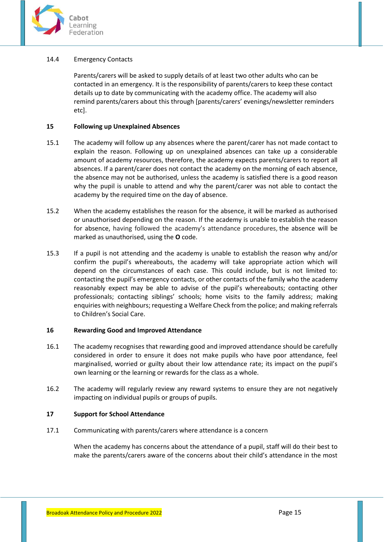

## 14.4 Emergency Contacts

Parents/carers will be asked to supply details of at least two other adults who can be contacted in an emergency. It is the responsibility of parents/carers to keep these contact details up to date by communicating with the academy office. The academy will also remind parents/carers about this through [parents/carers' evenings/newsletter reminders etc].

## <span id="page-14-0"></span>**15 Following up Unexplained Absences**

- 15.1 The academy will follow up any absences where the parent/carer has not made contact to explain the reason. Following up on unexplained absences can take up a considerable amount of academy resources, therefore, the academy expects parents/carers to report all absences. If a parent/carer does not contact the academy on the morning of each absence, the absence may not be authorised, unless the academy is satisfied there is a good reason why the pupil is unable to attend and why the parent/carer was not able to contact the academy by the required time on the day of absence.
- 15.2 When the academy establishes the reason for the absence, it will be marked as authorised or unauthorised depending on the reason. If the academy is unable to establish the reason for absence, having followed the academy's attendance procedures, the absence will be marked as unauthorised, using the **O** code.
- 15.3 If a pupil is not attending and the academy is unable to establish the reason why and/or confirm the pupil's whereabouts, the academy will take appropriate action which will depend on the circumstances of each case. This could include, but is not limited to: contacting the pupil's emergency contacts, or other contacts of the family who the academy reasonably expect may be able to advise of the pupil's whereabouts; contacting other professionals; contacting siblings' schools; home visits to the family address; making enquiries with neighbours; requesting a Welfare Check from the police; and making referrals to Children's Social Care.

## <span id="page-14-1"></span>**16 Rewarding Good and Improved Attendance**

- 16.1 The academy recognises that rewarding good and improved attendance should be carefully considered in order to ensure it does not make pupils who have poor attendance, feel marginalised, worried or guilty about their low attendance rate; its impact on the pupil's own learning or the learning or rewards for the class as a whole.
- 16.2 The academy will regularly review any reward systems to ensure they are not negatively impacting on individual pupils or groups of pupils.

## <span id="page-14-2"></span>**17 Support for School Attendance**

17.1 Communicating with parents/carers where attendance is a concern

When the academy has concerns about the attendance of a pupil, staff will do their best to make the parents/carers aware of the concerns about their child's attendance in the most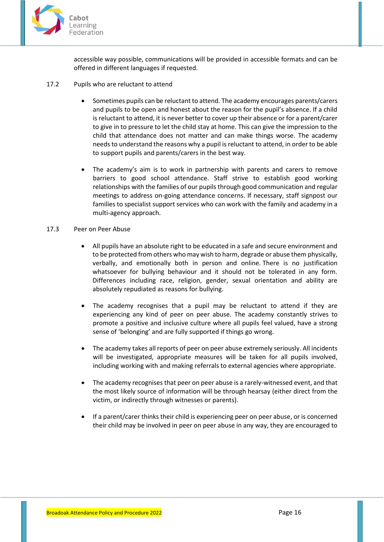

accessible way possible, communications will be provided in accessible formats and can be offered in different languages if requested.

- 17.2 Pupils who are reluctant to attend
	- Sometimes pupils can be reluctant to attend. The academy encourages parents/carers and pupils to be open and honest about the reason for the pupil's absence. If a child is reluctant to attend, it is never better to cover up their absence or for a parent/carer to give in to pressure to let the child stay at home. This can give the impression to the child that attendance does not matter and can make things worse. The academy needs to understand the reasons why a pupil is reluctant to attend, in order to be able to support pupils and parents/carers in the best way.
	- The academy's aim is to work in partnership with parents and carers to remove barriers to good school attendance. Staff strive to establish good working relationships with the families of our pupils through good communication and regular meetings to address on-going attendance concerns. If necessary, staff signpost our families to specialist support services who can work with the family and academy in a multi-agency approach.
- 17.3 Peer on Peer Abuse
	- All pupils have an absolute right to be educated in a safe and secure environment and to be protected from others who may wish to harm, degrade or abuse them physically, verbally, and emotionally both in person and online. There is no justification whatsoever for bullying behaviour and it should not be tolerated in any form. Differences including race, religion, gender, sexual orientation and ability are absolutely repudiated as reasons for bullying.
	- The academy recognises that a pupil may be reluctant to attend if they are experiencing any kind of peer on peer abuse. The academy constantly strives to promote a positive and inclusive culture where all pupils feel valued, have a strong sense of 'belonging' and are fully supported if things go wrong.
	- The academy takes all reports of peer on peer abuse extremely seriously. All incidents will be investigated, appropriate measures will be taken for all pupils involved, including working with and making referrals to external agencies where appropriate.
	- The academy recognises that peer on peer abuse is a rarely-witnessed event, and that the most likely source of information will be through hearsay (either direct from the victim, or indirectly through witnesses or parents).
	- If a parent/carer thinks their child is experiencing peer on peer abuse, or is concerned their child may be involved in peer on peer abuse in any way, they are encouraged to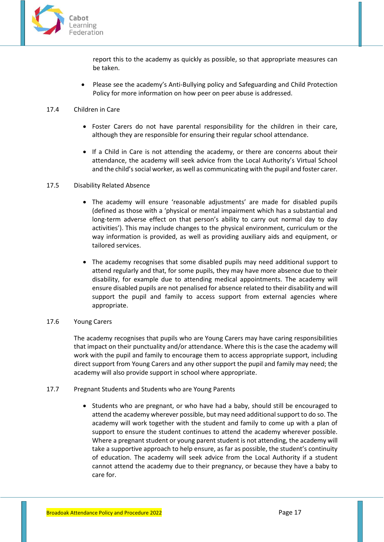

report this to the academy as quickly as possible, so that appropriate measures can be taken.

• Please see the academy's Anti-Bullying policy and Safeguarding and Child Protection Policy for more information on how peer on peer abuse is addressed.

## 17.4 Children in Care

- Foster Carers do not have parental responsibility for the children in their care, although they are responsible for ensuring their regular school attendance.
- If a Child in Care is not attending the academy, or there are concerns about their attendance, the academy will seek advice from the Local Authority's Virtual School and the child's social worker, as well as communicating with the pupil and foster carer.

#### 17.5 Disability Related Absence

- The academy will ensure 'reasonable adjustments' are made for disabled pupils (defined as those with a 'physical or mental impairment which has a substantial and long-term adverse effect on that person's ability to carry out normal day to day activities'). This may include changes to the physical environment, curriculum or the way information is provided, as well as providing auxiliary aids and equipment, or tailored services.
- The academy recognises that some disabled pupils may need additional support to attend regularly and that, for some pupils, they may have more absence due to their disability, for example due to attending medical appointments. The academy will ensure disabled pupils are not penalised for absence related to their disability and will support the pupil and family to access support from external agencies where appropriate.

#### 17.6 Young Carers

The academy recognises that pupils who are Young Carers may have caring responsibilities that impact on their punctuality and/or attendance. Where this is the case the academy will work with the pupil and family to encourage them to access appropriate support, including direct support from Young Carers and any other support the pupil and family may need; the academy will also provide support in school where appropriate.

- 17.7 Pregnant Students and Students who are Young Parents
	- Students who are pregnant, or who have had a baby, should still be encouraged to attend the academy wherever possible, but may need additional support to do so. The academy will work together with the student and family to come up with a plan of support to ensure the student continues to attend the academy wherever possible. Where a pregnant student or young parent student is not attending, the academy will take a supportive approach to help ensure, as far as possible, the student's continuity of education. The academy will seek advice from the Local Authority if a student cannot attend the academy due to their pregnancy, or because they have a baby to care for.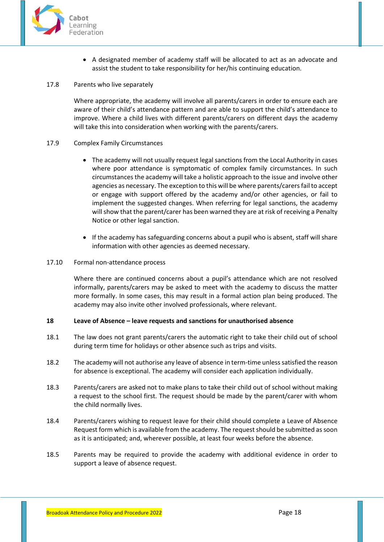

- A designated member of academy staff will be allocated to act as an advocate and assist the student to take responsibility for her/his continuing education.
- 17.8 Parents who live separately

Where appropriate, the academy will involve all parents/carers in order to ensure each are aware of their child's attendance pattern and are able to support the child's attendance to improve. Where a child lives with different parents/carers on different days the academy will take this into consideration when working with the parents/carers.

#### 17.9 Complex Family Circumstances

- The academy will not usually request legal sanctions from the Local Authority in cases where poor attendance is symptomatic of complex family circumstances. In such circumstances the academy will take a holistic approach to the issue and involve other agencies as necessary. The exception to this will be where parents/carers fail to accept or engage with support offered by the academy and/or other agencies, or fail to implement the suggested changes. When referring for legal sanctions, the academy will show that the parent/carer has been warned they are at risk of receiving a Penalty Notice or other legal sanction.
- If the academy has safeguarding concerns about a pupil who is absent, staff will share information with other agencies as deemed necessary.

#### 17.10 Formal non-attendance process

Where there are continued concerns about a pupil's attendance which are not resolved informally, parents/carers may be asked to meet with the academy to discuss the matter more formally. In some cases, this may result in a formal action plan being produced. The academy may also invite other involved professionals, where relevant.

#### <span id="page-17-0"></span>**18 Leave of Absence – leave requests and sanctions for unauthorised absence**

- 18.1 The law does not grant parents/carers the automatic right to take their child out of school during term time for holidays or other absence such as trips and visits.
- 18.2 The academy will not authorise any leave of absence in term-time unless satisfied the reason for absence is exceptional. The academy will consider each application individually.
- 18.3 Parents/carers are asked not to make plans to take their child out of school without making a request to the school first. The request should be made by the parent/carer with whom the child normally lives.
- 18.4 Parents/carers wishing to request leave for their child should complete a Leave of Absence Request form which is available from the academy. The request should be submitted as soon as it is anticipated; and, wherever possible, at least four weeks before the absence.
- 18.5 Parents may be required to provide the academy with additional evidence in order to support a leave of absence request.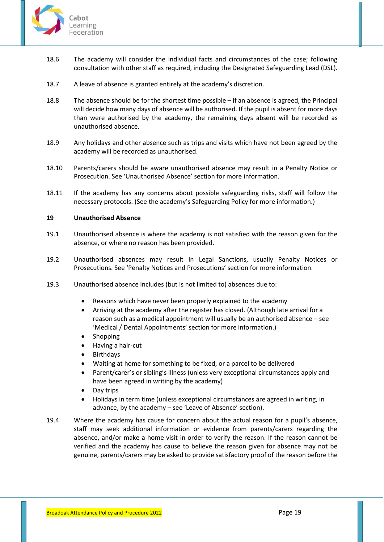

- 18.6 The academy will consider the individual facts and circumstances of the case; following consultation with other staff as required, including the Designated Safeguarding Lead (DSL).
- 18.7 A leave of absence is granted entirely at the academy's discretion.
- 18.8 The absence should be for the shortest time possible if an absence is agreed, the Principal will decide how many days of absence will be authorised. If the pupil is absent for more days than were authorised by the academy, the remaining days absent will be recorded as unauthorised absence.
- 18.9 Any holidays and other absence such as trips and visits which have not been agreed by the academy will be recorded as unauthorised.
- 18.10 Parents/carers should be aware unauthorised absence may result in a Penalty Notice or Prosecution. See 'Unauthorised Absence' section for more information.
- 18.11 If the academy has any concerns about possible safeguarding risks, staff will follow the necessary protocols. (See the academy's Safeguarding Policy for more information.)

## <span id="page-18-0"></span>**19 Unauthorised Absence**

- 19.1 Unauthorised absence is where the academy is not satisfied with the reason given for the absence, or where no reason has been provided.
- 19.2 Unauthorised absences may result in Legal Sanctions, usually Penalty Notices or Prosecutions. See 'Penalty Notices and Prosecutions' section for more information.
- 19.3 Unauthorised absence includes (but is not limited to) absences due to:
	- Reasons which have never been properly explained to the academy
	- Arriving at the academy after the register has closed. (Although late arrival for a reason such as a medical appointment will usually be an authorised absence – see 'Medical / Dental Appointments' section for more information.)
	- **Shopping**
	- Having a hair-cut
	- **Birthdays**
	- Waiting at home for something to be fixed, or a parcel to be delivered
	- Parent/carer's or sibling's illness (unless very exceptional circumstances apply and have been agreed in writing by the academy)
	- Day trips
	- Holidays in term time (unless exceptional circumstances are agreed in writing, in advance, by the academy – see 'Leave of Absence' section).
- 19.4 Where the academy has cause for concern about the actual reason for a pupil's absence, staff may seek additional information or evidence from parents/carers regarding the absence, and/or make a home visit in order to verify the reason. If the reason cannot be verified and the academy has cause to believe the reason given for absence may not be genuine, parents/carers may be asked to provide satisfactory proof of the reason before the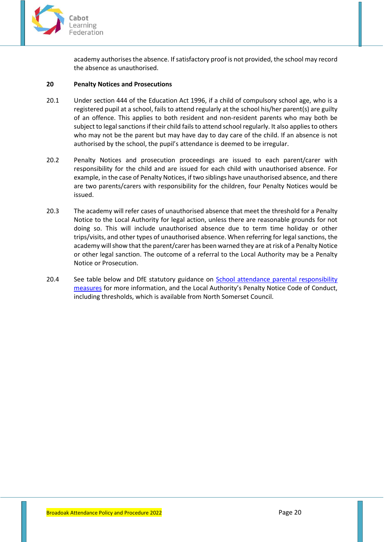

academy authorises the absence. If satisfactory proof is not provided, the school may record the absence as unauthorised.

#### <span id="page-19-0"></span>**20 Penalty Notices and Prosecutions**

- 20.1 Under section 444 of the Education Act 1996, if a child of compulsory school age, who is a registered pupil at a school, fails to attend regularly at the school his/her parent(s) are guilty of an offence. This applies to both resident and non-resident parents who may both be subject to legal sanctions if their child fails to attend school regularly. It also applies to others who may not be the parent but may have day to day care of the child. If an absence is not authorised by the school, the pupil's attendance is deemed to be irregular.
- 20.2 Penalty Notices and prosecution proceedings are issued to each parent/carer with responsibility for the child and are issued for each child with unauthorised absence. For example, in the case of Penalty Notices, if two siblings have unauthorised absence, and there are two parents/carers with responsibility for the children, four Penalty Notices would be issued.
- 20.3 The academy will refer cases of unauthorised absence that meet the threshold for a Penalty Notice to the Local Authority for legal action, unless there are reasonable grounds for not doing so. This will include unauthorised absence due to term time holiday or other trips/visits, and other types of unauthorised absence. When referring for legal sanctions, the academy will show that the parent/carer has been warned they are at risk of a Penalty Notice or other legal sanction. The outcome of a referral to the Local Authority may be a Penalty Notice or Prosecution.
- 20.4 See table below and DfE statutory guidance on [School attendance parental responsibility](https://www.gov.uk/government/publications/parental-responsibility-measures-for-behaviour-and-attendance)  [measures](https://www.gov.uk/government/publications/parental-responsibility-measures-for-behaviour-and-attendance) for more information, and the Local Authority's Penalty Notice Code of Conduct, including thresholds, which is available from North Somerset Council.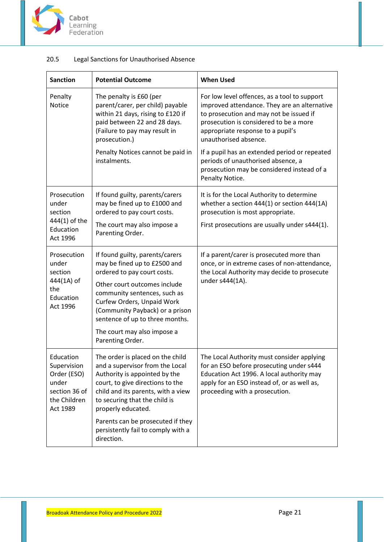

| <b>Sanction</b>                                                                               | <b>Potential Outcome</b>                                                                                                                                                                                                                                                                                                       | <b>When Used</b>                                                                                                                                                                                                                                |
|-----------------------------------------------------------------------------------------------|--------------------------------------------------------------------------------------------------------------------------------------------------------------------------------------------------------------------------------------------------------------------------------------------------------------------------------|-------------------------------------------------------------------------------------------------------------------------------------------------------------------------------------------------------------------------------------------------|
| Penalty<br><b>Notice</b>                                                                      | The penalty is £60 (per<br>parent/carer, per child) payable<br>within 21 days, rising to £120 if<br>paid between 22 and 28 days.<br>(Failure to pay may result in<br>prosecution.)<br>Penalty Notices cannot be paid in                                                                                                        | For low level offences, as a tool to support<br>improved attendance. They are an alternative<br>to prosecution and may not be issued if<br>prosecution is considered to be a more<br>appropriate response to a pupil's<br>unauthorised absence. |
|                                                                                               | instalments.                                                                                                                                                                                                                                                                                                                   | If a pupil has an extended period or repeated<br>periods of unauthorised absence, a<br>prosecution may be considered instead of a<br>Penalty Notice.                                                                                            |
| Prosecution<br>under<br>section<br>444(1) of the<br>Education<br>Act 1996                     | If found guilty, parents/carers<br>may be fined up to £1000 and<br>ordered to pay court costs.                                                                                                                                                                                                                                 | It is for the Local Authority to determine<br>whether a section 444(1) or section 444(1A)<br>prosecution is most appropriate.                                                                                                                   |
|                                                                                               | The court may also impose a<br>Parenting Order.                                                                                                                                                                                                                                                                                | First prosecutions are usually under s444(1).                                                                                                                                                                                                   |
| Prosecution<br>under<br>section<br>444(1A) of<br>the<br>Education<br>Act 1996                 | If found guilty, parents/carers<br>may be fined up to £2500 and<br>ordered to pay court costs.<br>Other court outcomes include<br>community sentences, such as<br>Curfew Orders, Unpaid Work<br>(Community Payback) or a prison<br>sentence of up to three months.<br>The court may also impose a<br>Parenting Order.          | If a parent/carer is prosecuted more than<br>once, or in extreme cases of non-attendance,<br>the Local Authority may decide to prosecute<br>under s444(1A).                                                                                     |
| Education<br>Supervision<br>Order (ESO)<br>under<br>section 36 of<br>the Children<br>Act 1989 | The order is placed on the child<br>and a supervisor from the Local<br>Authority is appointed by the<br>court, to give directions to the<br>child and its parents, with a view<br>to securing that the child is<br>properly educated.<br>Parents can be prosecuted if they<br>persistently fail to comply with a<br>direction. | The Local Authority must consider applying<br>for an ESO before prosecuting under s444<br>Education Act 1996. A local authority may<br>apply for an ESO instead of, or as well as,<br>proceeding with a prosecution.                            |

# 20.5 Legal Sanctions for Unauthorised Absence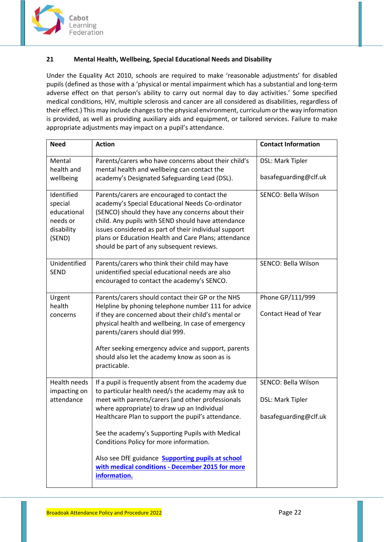

# <span id="page-21-0"></span>**21 Mental Health, Wellbeing, Special Educational Needs and Disability**

Under the Equality Act 2010, schools are required to make 'reasonable adjustments' for disabled pupils (defined as those with a 'physical or mental impairment which has a substantial and long-term adverse effect on that person's ability to carry out normal day to day activities.' Some specified medical conditions, HIV, multiple sclerosis and cancer are all considered as disabilities, regardless of their effect.) This may include changes to the physical environment, curriculum or the way information is provided, as well as providing auxiliary aids and equipment, or tailored services. Failure to make appropriate adjustments may impact on a pupil's attendance.

| <b>Need</b>                                                              | <b>Action</b>                                                                                                                                                                                                                                                                                                                                                                                                                                                                       | <b>Contact Information</b>                                       |
|--------------------------------------------------------------------------|-------------------------------------------------------------------------------------------------------------------------------------------------------------------------------------------------------------------------------------------------------------------------------------------------------------------------------------------------------------------------------------------------------------------------------------------------------------------------------------|------------------------------------------------------------------|
| Mental<br>health and<br>wellbeing                                        | Parents/carers who have concerns about their child's<br>mental health and wellbeing can contact the<br>academy's Designated Safeguarding Lead (DSL).                                                                                                                                                                                                                                                                                                                                | DSL: Mark Tipler<br>basafeguarding@clf.uk                        |
|                                                                          |                                                                                                                                                                                                                                                                                                                                                                                                                                                                                     |                                                                  |
| Identified<br>special<br>educational<br>needs or<br>disability<br>(SEND) | Parents/carers are encouraged to contact the<br>academy's Special Educational Needs Co-ordinator<br>(SENCO) should they have any concerns about their<br>child. Any pupils with SEND should have attendance<br>issues considered as part of their individual support<br>plans or Education Health and Care Plans; attendance<br>should be part of any subsequent reviews.                                                                                                           | SENCO: Bella Wilson                                              |
| Unidentified<br><b>SEND</b>                                              | Parents/carers who think their child may have<br>unidentified special educational needs are also<br>encouraged to contact the academy's SENCO.                                                                                                                                                                                                                                                                                                                                      | SENCO: Bella Wilson                                              |
| Urgent<br>health<br>concerns                                             | Parents/carers should contact their GP or the NHS<br>Helpline by phoning telephone number 111 for advice<br>if they are concerned about their child's mental or<br>physical health and wellbeing. In case of emergency<br>parents/carers should dial 999.<br>After seeking emergency advice and support, parents<br>should also let the academy know as soon as is<br>practicable.                                                                                                  | Phone GP/111/999<br><b>Contact Head of Year</b>                  |
| <b>Health needs</b><br>impacting on<br>attendance                        | If a pupil is frequently absent from the academy due<br>to particular health need/s the academy may ask to<br>meet with parents/carers (and other professionals<br>where appropriate) to draw up an Individual<br>Healthcare Plan to support the pupil's attendance.<br>See the academy's Supporting Pupils with Medical<br>Conditions Policy for more information.<br>Also see DfE guidance <b>Supporting pupils at school</b><br>with medical conditions - December 2015 for more | SENCO: Bella Wilson<br>DSL: Mark Tipler<br>basafeguarding@clf.uk |
|                                                                          | information.                                                                                                                                                                                                                                                                                                                                                                                                                                                                        |                                                                  |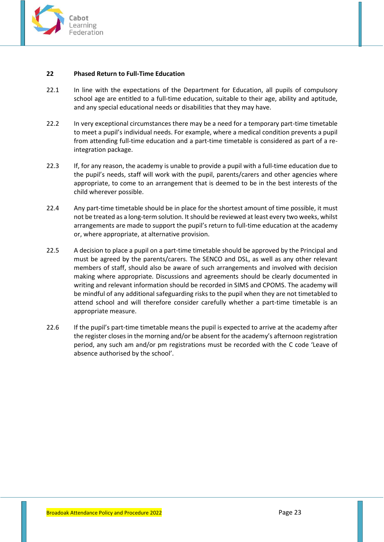

## <span id="page-22-0"></span>**22 Phased Return to Full-Time Education**

- 22.1 In line with the expectations of the Department for Education, all pupils of compulsory school age are entitled to a full-time education, suitable to their age, ability and aptitude, and any special educational needs or disabilities that they may have.
- 22.2 In very exceptional circumstances there may be a need for a temporary part-time timetable to meet a pupil's individual needs. For example, where a medical condition prevents a pupil from attending full-time education and a part-time timetable is considered as part of a reintegration package.
- 22.3 If, for any reason, the academy is unable to provide a pupil with a full-time education due to the pupil's needs, staff will work with the pupil, parents/carers and other agencies where appropriate, to come to an arrangement that is deemed to be in the best interests of the child wherever possible.
- 22.4 Any part-time timetable should be in place for the shortest amount of time possible, it must not be treated as a long-term solution. It should be reviewed at least every two weeks, whilst arrangements are made to support the pupil's return to full-time education at the academy or, where appropriate, at alternative provision.
- 22.5 A decision to place a pupil on a part-time timetable should be approved by the Principal and must be agreed by the parents/carers. The SENCO and DSL, as well as any other relevant members of staff, should also be aware of such arrangements and involved with decision making where appropriate. Discussions and agreements should be clearly documented in writing and relevant information should be recorded in SIMS and CPOMS. The academy will be mindful of any additional safeguarding risks to the pupil when they are not timetabled to attend school and will therefore consider carefully whether a part-time timetable is an appropriate measure.
- 22.6 If the pupil's part-time timetable means the pupil is expected to arrive at the academy after the register closes in the morning and/or be absent for the academy's afternoon registration period, any such am and/or pm registrations must be recorded with the C code 'Leave of absence authorised by the school'.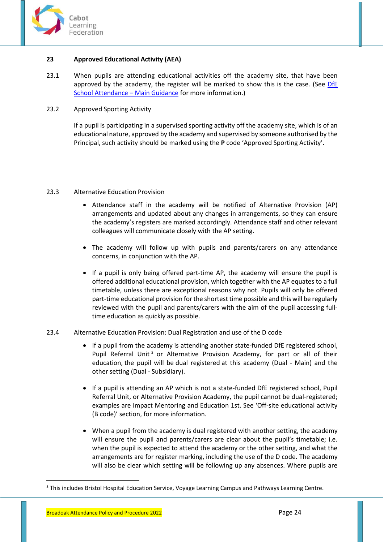

## <span id="page-23-0"></span>**23 Approved Educational Activity (AEA)**

23.1 When pupils are attending educational activities off the academy site, that have been approved by the academy, the register will be marked to show this is the case. (See DfE [School Attendance](https://www.gov.uk/government/publications/school-attendance) – Main Guidance for more information.)

## 23.2 Approved Sporting Activity

If a pupil is participating in a supervised sporting activity off the academy site, which is of an educational nature, approved by the academy and supervised by someone authorised by the Principal, such activity should be marked using the **P** code 'Approved Sporting Activity'.

## 23.3 Alternative Education Provision

- Attendance staff in the academy will be notified of Alternative Provision (AP) arrangements and updated about any changes in arrangements, so they can ensure the academy's registers are marked accordingly. Attendance staff and other relevant colleagues will communicate closely with the AP setting.
- The academy will follow up with pupils and parents/carers on any attendance concerns, in conjunction with the AP.
- If a pupil is only being offered part-time AP, the academy will ensure the pupil is offered additional educational provision, which together with the AP equates to a full timetable, unless there are exceptional reasons why not. Pupils will only be offered part-time educational provision for the shortest time possible and this will be regularly reviewed with the pupil and parents/carers with the aim of the pupil accessing fulltime education as quickly as possible.

## 23.4 Alternative Education Provision: Dual Registration and use of the D code

- If a pupil from the academy is attending another state-funded DfE registered school, Pupil Referral Unit<sup>3</sup> or Alternative Provision Academy, for part or all of their education, the pupil will be dual registered at this academy (Dual - Main) and the other setting (Dual - Subsidiary).
- If a pupil is attending an AP which is not a state-funded DfE registered school, Pupil Referral Unit, or Alternative Provision Academy, the pupil cannot be dual-registered; examples are Impact Mentoring and Education 1st. See 'Off-site educational activity (B code)' section, for more information.
- When a pupil from the academy is dual registered with another setting, the academy will ensure the pupil and parents/carers are clear about the pupil's timetable; i.e. when the pupil is expected to attend the academy or the other setting, and what the arrangements are for register marking, including the use of the D code. The academy will also be clear which setting will be following up any absences. Where pupils are

**.** 

<sup>&</sup>lt;sup>3</sup> This includes Bristol Hospital Education Service, Voyage Learning Campus and Pathways Learning Centre.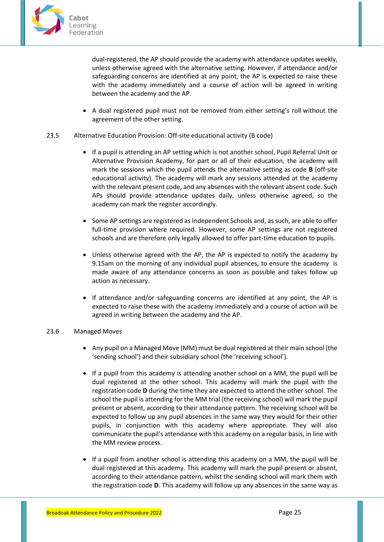

dual-registered, the AP should provide the academy with attendance updates weekly, unless otherwise agreed with the alternative setting. However, if attendance and/or safeguarding concerns are identified at any point, the AP is expected to raise these with the academy immediately and a course of action will be agreed in writing between the academy and the AP.

- A dual registered pupil must not be removed from either setting's roll without the agreement of the other setting.
- 23.5 Alternative Education Provision: Off-site educational activity (B code)
	- If a pupil is attending an AP setting which is not another school, Pupil Referral Unit or Alternative Provision Academy, for part or all of their education, the academy will mark the sessions which the pupil attends the alternative setting as code **B** (off-site educational activity). The academy will mark any sessions attended at the academy with the relevant present code, and any absences with the relevant absent code. Such APs should provide attendance updates daily, unless otherwise agreed, so the academy can mark the register accordingly.
	- Some AP settings are registered as Independent Schools and, as such, are able to offer full-time provision where required. However, some AP settings are not registered schools and are therefore only legally allowed to offer part-time education to pupils.
	- Unless otherwise agreed with the AP, the AP is expected to notify the academy by 9.15am on the morning of any individual pupil absences, to ensure the academy is made aware of any attendance concerns as soon as possible and takes follow up action as necessary.
	- If attendance and/or safeguarding concerns are identified at any point, the AP is expected to raise these with the academy immediately and a course of action will be agreed in writing between the academy and the AP.

## 23.6 Managed Moves

- Any pupil on a Managed Move (MM) must be dual registered at their main school (the 'sending school') and their subsidiary school (the 'receiving school').
- If a pupil from this academy is attending another school on a MM, the pupil will be dual registered at the other school. This academy will mark the pupil with the registration code **D** during the time they are expected to attend the other school. The school the pupil is attending for the MM trial (the receiving school) will mark the pupil present or absent, according to their attendance pattern. The receiving school will be expected to follow up any pupil absences in the same way they would for their other pupils, in conjunction with this academy where appropriate. They will also communicate the pupil's attendance with this academy on a regular basis, in line with the MM review process.
- If a pupil from another school is attending this academy on a MM, the pupil will be dual registered at this academy. This academy will mark the pupil present or absent, according to their attendance pattern, whilst the sending school will mark them with the registration code **D**. This academy will follow up any absences in the same way as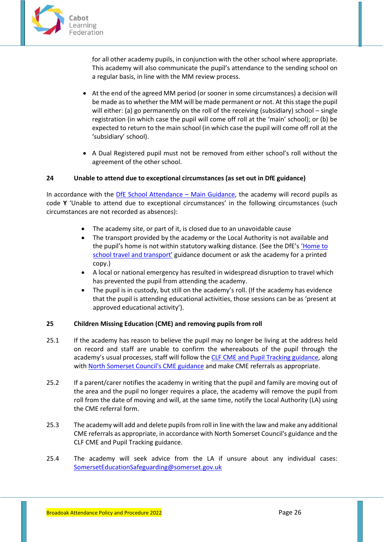

for all other academy pupils, in conjunction with the other school where appropriate. This academy will also communicate the pupil's attendance to the sending school on a regular basis, in line with the MM review process.

- At the end of the agreed MM period (or sooner in some circumstances) a decision will be made as to whether the MM will be made permanent or not. At this stage the pupil will either: (a) go permanently on the roll of the receiving (subsidiary) school – single registration (in which case the pupil will come off roll at the 'main' school); or (b) be expected to return to the main school (in which case the pupil will come off roll at the 'subsidiary' school).
- A Dual Registered pupil must not be removed from either school's roll without the agreement of the other school.

## <span id="page-25-0"></span>**24 Unable to attend due to exceptional circumstances (as set out in DfE guidance)**

In accordance with the [DfE School Attendance](https://www.gov.uk/government/publications/school-attendance) – Main Guidance, the academy will record pupils as code **Y** 'Unable to attend due to exceptional circumstances' in the following circumstances (such circumstances are not recorded as absences):

- The academy site, or part of it, is closed due to an unavoidable cause
- The transport provided by the academy or the Local Authority is not available and the pupil's home is not within statutory walking distance. (See the DfE'[s 'Home to](https://www.gov.uk/government/publications/home-to-school-travel-and-transport-guidance)  [school travel and tra](https://www.gov.uk/government/publications/home-to-school-travel-and-transport-guidance)nsport' guidance document or ask the academy for a printed copy.)
- A local or national emergency has resulted in widespread disruption to travel which has prevented the pupil from attending the academy.
- The pupil is in custody, but still on the academy's roll. (If the academy has evidence that the pupil is attending educational activities, those sessions can be as 'present at approved educational activity').

#### <span id="page-25-1"></span>**25 Children Missing Education (CME) and removing pupils from roll**

- 25.1 If the academy has reason to believe the pupil may no longer be living at the address held on record and staff are unable to confirm the whereabouts of the pupil through the academy's usual processes, staff will follow the [CLF CME and Pupil Tracking guidance,](https://clfacademies.sharepoint.com/:f:/s/clfattendance/EvR3ST68aX1EnuwB3_OMH1gBOvodmst2P54MGOZFCUbX6g) along with [North Somerset Council's CME guidance](https://www.n-somerset.gov.uk/my-services/schools-learning/local-schools/school-attendance/school-absence) and make CME referrals as appropriate.
- 25.2 If a parent/carer notifies the academy in writing that the pupil and family are moving out of the area and the pupil no longer requires a place, the academy will remove the pupil from roll from the date of moving and will, at the same time, notify the Local Authority (LA) using the CME referral form.
- 25.3 The academy will add and delete pupils from roll in line with the law and make any additional CME referrals as appropriate, in accordance with North Somerset Council's guidance and the CLF CME and Pupil Tracking guidance.
- 25.4 The academy will seek advice from the LA if unsure about any individual cases: [SomersetEducationSafeguarding@somerset.gov.uk](mailto:SomersetEducationSafeguarding@somerset.gov.uk)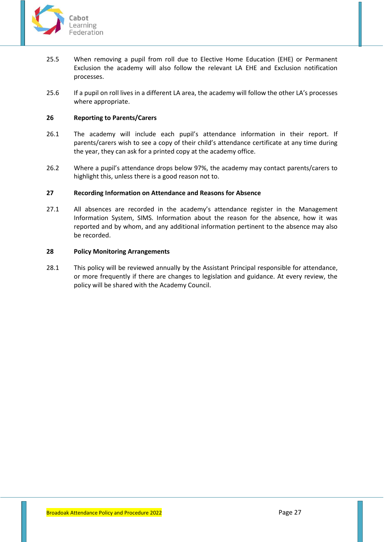

- 25.5 When removing a pupil from roll due to Elective Home Education (EHE) or Permanent Exclusion the academy will also follow the relevant LA EHE and Exclusion notification processes.
- 25.6 If a pupil on roll lives in a different LA area, the academy will follow the other LA's processes where appropriate.

## <span id="page-26-0"></span>**26 Reporting to Parents/Carers**

- 26.1 The academy will include each pupil's attendance information in their report. If parents/carers wish to see a copy of their child's attendance certificate at any time during the year, they can ask for a printed copy at the academy office.
- 26.2 Where a pupil's attendance drops below 97%, the academy may contact parents/carers to highlight this, unless there is a good reason not to.

#### <span id="page-26-1"></span>**27 Recording Information on Attendance and Reasons for Absence**

27.1 All absences are recorded in the academy's attendance register in the Management Information System, SIMS. Information about the reason for the absence, how it was reported and by whom, and any additional information pertinent to the absence may also be recorded.

## <span id="page-26-2"></span>**28 Policy Monitoring Arrangements**

28.1 This policy will be reviewed annually by the Assistant Principal responsible for attendance, or more frequently if there are changes to legislation and guidance. At every review, the policy will be shared with the Academy Council.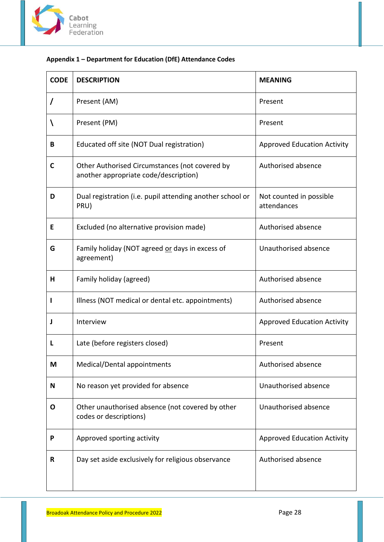

# <span id="page-27-0"></span>**Appendix 1 – Department for Education (DfE) Attendance Codes**

| <b>CODE</b>  | <b>DESCRIPTION</b>                                                                      | <b>MEANING</b>                         |
|--------------|-----------------------------------------------------------------------------------------|----------------------------------------|
| 7            | Present (AM)                                                                            | Present                                |
| V            | Present (PM)                                                                            | Present                                |
| B            | Educated off site (NOT Dual registration)                                               | <b>Approved Education Activity</b>     |
| $\mathsf{C}$ | Other Authorised Circumstances (not covered by<br>another appropriate code/description) | Authorised absence                     |
| D            | Dual registration (i.e. pupil attending another school or<br>PRU)                       | Not counted in possible<br>attendances |
| Е            | Excluded (no alternative provision made)                                                | Authorised absence                     |
| G            | Family holiday (NOT agreed or days in excess of<br>agreement)                           | Unauthorised absence                   |
| н            | Family holiday (agreed)                                                                 | Authorised absence                     |
| ı            | Illness (NOT medical or dental etc. appointments)                                       | Authorised absence                     |
| J            | Interview                                                                               | <b>Approved Education Activity</b>     |
| L            | Late (before registers closed)                                                          | Present                                |
| M            | Medical/Dental appointments                                                             | Authorised absence                     |
| N            | No reason yet provided for absence                                                      | Unauthorised absence                   |
| O            | Other unauthorised absence (not covered by other<br>codes or descriptions)              | Unauthorised absence                   |
| P            | Approved sporting activity                                                              | <b>Approved Education Activity</b>     |
| R            | Day set aside exclusively for religious observance                                      | Authorised absence                     |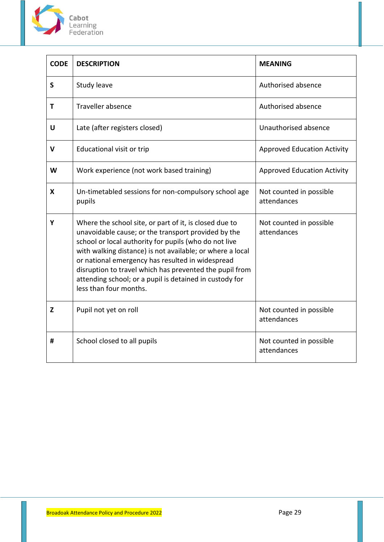

 $\mathbf{r}$ 

| <b>CODE</b>  | <b>DESCRIPTION</b>                                                                                                                                                                                                                                                                                                                                                                                                                      | <b>MEANING</b>                         |
|--------------|-----------------------------------------------------------------------------------------------------------------------------------------------------------------------------------------------------------------------------------------------------------------------------------------------------------------------------------------------------------------------------------------------------------------------------------------|----------------------------------------|
| $\mathsf{S}$ | Study leave                                                                                                                                                                                                                                                                                                                                                                                                                             | Authorised absence                     |
| T            | Traveller absence                                                                                                                                                                                                                                                                                                                                                                                                                       | Authorised absence                     |
| U            | Late (after registers closed)                                                                                                                                                                                                                                                                                                                                                                                                           | Unauthorised absence                   |
| V            | Educational visit or trip                                                                                                                                                                                                                                                                                                                                                                                                               | <b>Approved Education Activity</b>     |
| W            | Work experience (not work based training)                                                                                                                                                                                                                                                                                                                                                                                               | <b>Approved Education Activity</b>     |
| X            | Un-timetabled sessions for non-compulsory school age<br>pupils                                                                                                                                                                                                                                                                                                                                                                          | Not counted in possible<br>attendances |
| Y            | Where the school site, or part of it, is closed due to<br>unavoidable cause; or the transport provided by the<br>school or local authority for pupils (who do not live<br>with walking distance) is not available; or where a local<br>or national emergency has resulted in widespread<br>disruption to travel which has prevented the pupil from<br>attending school; or a pupil is detained in custody for<br>less than four months. | Not counted in possible<br>attendances |
| Z            | Pupil not yet on roll                                                                                                                                                                                                                                                                                                                                                                                                                   | Not counted in possible<br>attendances |
| #            | School closed to all pupils                                                                                                                                                                                                                                                                                                                                                                                                             | Not counted in possible<br>attendances |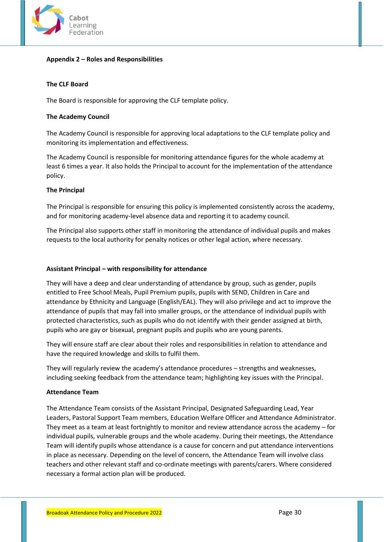

## <span id="page-29-0"></span>**Appendix 2 – Roles and Responsibilities**

## **The CLF Board**

The Board is responsible for approving the CLF template policy.

#### **The Academy Council**

The Academy Council is responsible for approving local adaptations to the CLF template policy and monitoring its implementation and effectiveness.

The Academy Council is responsible for monitoring attendance figures for the whole academy at least 6 times a year. It also holds the Principal to account for the implementation of the attendance policy.

#### **The Principal**

The Principal is responsible for ensuring this policy is implemented consistently across the academy, and for monitoring academy-level absence data and reporting it to academy council.

The Principal also supports other staff in monitoring the attendance of individual pupils and makes requests to the local authority for penalty notices or other legal action, where necessary.

#### **Assistant Principal – with responsibility for attendance**

They will have a deep and clear understanding of attendance by group, such as gender, pupils entitled to Free School Meals, Pupil Premium pupils, pupils with SEND, Children in Care and attendance by Ethnicity and Language (English/EAL). They will also privilege and act to improve the attendance of pupils that may fall into smaller groups, or the attendance of individual pupils with protected characteristics, such as pupils who do not identify with their gender assigned at birth, pupils who are gay or bisexual, pregnant pupils and pupils who are young parents.

They will ensure staff are clear about their roles and responsibilities in relation to attendance and have the required knowledge and skills to fulfil them.

They will regularly review the academy's attendance procedures – strengths and weaknesses, including seeking feedback from the attendance team; highlighting key issues with the Principal.

#### **Attendance Team**

The Attendance Team consists of the Assistant Principal, Designated Safeguarding Lead, Year Leaders, Pastoral Support Team members, Education Welfare Officer and Attendance Administrator. They meet as a team at least fortnightly to monitor and review attendance across the academy – for individual pupils, vulnerable groups and the whole academy. During their meetings, the Attendance Team will identify pupils whose attendance is a cause for concern and put attendance interventions in place as necessary. Depending on the level of concern, the Attendance Team will involve class teachers and other relevant staff and co-ordinate meetings with parents/carers. Where considered necessary a formal action plan will be produced.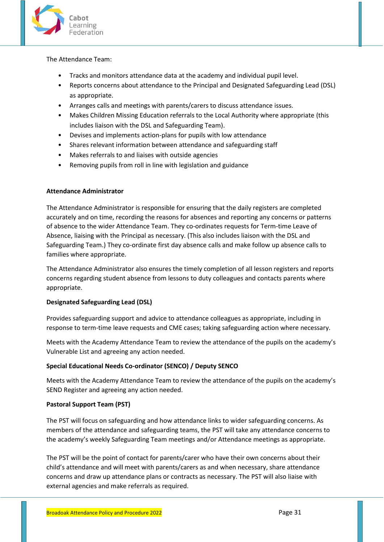

## The Attendance Team:

- Tracks and monitors attendance data at the academy and individual pupil level.
- Reports concerns about attendance to the Principal and Designated Safeguarding Lead (DSL) as appropriate.
- Arranges calls and meetings with parents/carers to discuss attendance issues.
- Makes Children Missing Education referrals to the Local Authority where appropriate (this includes liaison with the DSL and Safeguarding Team).
- Devises and implements action-plans for pupils with low attendance
- Shares relevant information between attendance and safeguarding staff
- Makes referrals to and liaises with outside agencies
- Removing pupils from roll in line with legislation and guidance

## **Attendance Administrator**

The Attendance Administrator is responsible for ensuring that the daily registers are completed accurately and on time, recording the reasons for absences and reporting any concerns or patterns of absence to the wider Attendance Team. They co-ordinates requests for Term-time Leave of Absence, liaising with the Principal as necessary. (This also includes liaison with the DSL and Safeguarding Team.) They co-ordinate first day absence calls and make follow up absence calls to families where appropriate.

The Attendance Administrator also ensures the timely completion of all lesson registers and reports concerns regarding student absence from lessons to duty colleagues and contacts parents where appropriate.

## **Designated Safeguarding Lead (DSL)**

Provides safeguarding support and advice to attendance colleagues as appropriate, including in response to term-time leave requests and CME cases; taking safeguarding action where necessary.

Meets with the Academy Attendance Team to review the attendance of the pupils on the academy's Vulnerable List and agreeing any action needed.

# **Special Educational Needs Co-ordinator (SENCO) / Deputy SENCO**

Meets with the Academy Attendance Team to review the attendance of the pupils on the academy's SEND Register and agreeing any action needed.

# **Pastoral Support Team (PST)**

The PST will focus on safeguarding and how attendance links to wider safeguarding concerns. As members of the attendance and safeguarding teams, the PST will take any attendance concerns to the academy's weekly Safeguarding Team meetings and/or Attendance meetings as appropriate.

The PST will be the point of contact for parents/carer who have their own concerns about their child's attendance and will meet with parents/carers as and when necessary, share attendance concerns and draw up attendance plans or contracts as necessary. The PST will also liaise with external agencies and make referrals as required.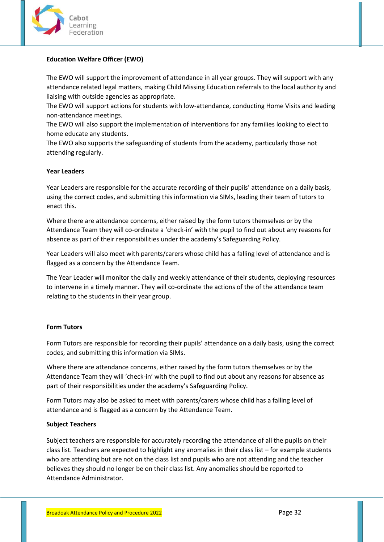

## **Education Welfare Officer (EWO)**

The EWO will support the improvement of attendance in all year groups. They will support with any attendance related legal matters, making Child Missing Education referrals to the local authority and liaising with outside agencies as appropriate.

The EWO will support actions for students with low-attendance, conducting Home Visits and leading non-attendance meetings.

The EWO will also support the implementation of interventions for any families looking to elect to home educate any students.

The EWO also supports the safeguarding of students from the academy, particularly those not attending regularly.

## **Year Leaders**

Year Leaders are responsible for the accurate recording of their pupils' attendance on a daily basis, using the correct codes, and submitting this information via SIMs, leading their team of tutors to enact this.

Where there are attendance concerns, either raised by the form tutors themselves or by the Attendance Team they will co-ordinate a 'check-in' with the pupil to find out about any reasons for absence as part of their responsibilities under the academy's Safeguarding Policy.

Year Leaders will also meet with parents/carers whose child has a falling level of attendance and is flagged as a concern by the Attendance Team.

The Year Leader will monitor the daily and weekly attendance of their students, deploying resources to intervene in a timely manner. They will co-ordinate the actions of the of the attendance team relating to the students in their year group.

## **Form Tutors**

Form Tutors are responsible for recording their pupils' attendance on a daily basis, using the correct codes, and submitting this information via SIMs.

Where there are attendance concerns, either raised by the form tutors themselves or by the Attendance Team they will 'check-in' with the pupil to find out about any reasons for absence as part of their responsibilities under the academy's Safeguarding Policy.

Form Tutors may also be asked to meet with parents/carers whose child has a falling level of attendance and is flagged as a concern by the Attendance Team.

## **Subject Teachers**

Subject teachers are responsible for accurately recording the attendance of all the pupils on their class list. Teachers are expected to highlight any anomalies in their class list – for example students who are attending but are not on the class list and pupils who are not attending and the teacher believes they should no longer be on their class list. Any anomalies should be reported to Attendance Administrator.